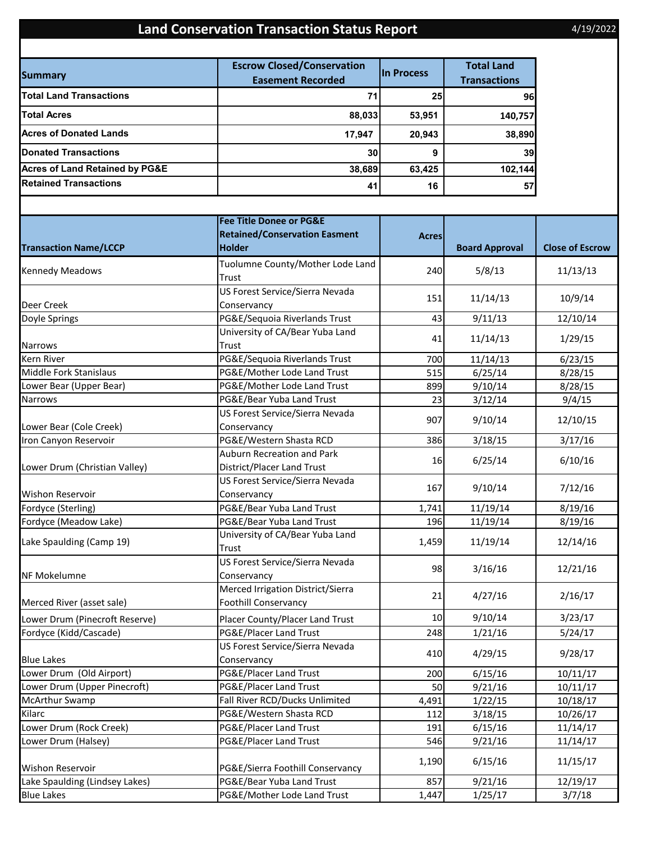## **Land Conservation Transaction Status Report**

4/19/2022

| <b>Summary</b>                            | <b>Escrow Closed/Conservation</b><br><b>Easement Recorded</b> | <b>In Process</b> | <b>Total Land</b><br><b>Transactions</b> |  |
|-------------------------------------------|---------------------------------------------------------------|-------------------|------------------------------------------|--|
| <b>Total Land Transactions</b>            | 71                                                            | 25                | 96                                       |  |
| <b>Total Acres</b>                        | 88,033                                                        | 53,951            | 140,757                                  |  |
| <b>Acres of Donated Lands</b>             | 17,947                                                        | 20,943            | 38,890                                   |  |
| <b>Donated Transactions</b>               | 30                                                            | 9                 | 39                                       |  |
| <b>Acres of Land Retained by PG&amp;E</b> | 38,689                                                        | 63,425            | 102,144                                  |  |
| <b>Retained Transactions</b>              | 41                                                            | 16                | 57                                       |  |

| <b>Transaction Name/LCCP</b>   | <b>Fee Title Donee or PG&amp;E</b>   | <b>Acres</b> |                       |                        |
|--------------------------------|--------------------------------------|--------------|-----------------------|------------------------|
|                                | <b>Retained/Conservation Easment</b> |              |                       |                        |
|                                | <b>Holder</b>                        |              | <b>Board Approval</b> | <b>Close of Escrow</b> |
| <b>Kennedy Meadows</b>         | Tuolumne County/Mother Lode Land     | 240          | 5/8/13                | 11/13/13               |
|                                | Trust                                |              |                       |                        |
|                                | US Forest Service/Sierra Nevada      | 151          | 11/14/13              | 10/9/14                |
| Deer Creek                     | Conservancy                          |              |                       |                        |
| Doyle Springs                  | PG&E/Sequoia Riverlands Trust        | 43           | 9/11/13               | 12/10/14               |
|                                | University of CA/Bear Yuba Land      | 41           | 11/14/13              | 1/29/15                |
| <b>Narrows</b>                 | Trust                                |              |                       |                        |
| Kern River                     | PG&E/Sequoia Riverlands Trust        | 700          | 11/14/13              | 6/23/15                |
| Middle Fork Stanislaus         | PG&E/Mother Lode Land Trust          | 515          | 6/25/14               | 8/28/15                |
| Lower Bear (Upper Bear)        | PG&E/Mother Lode Land Trust          | 899          | 9/10/14               | 8/28/15                |
| Narrows                        | PG&E/Bear Yuba Land Trust            | 23           | 3/12/14               | 9/4/15                 |
|                                | US Forest Service/Sierra Nevada      | 907          | 9/10/14               | 12/10/15               |
| Lower Bear (Cole Creek)        | Conservancy                          |              |                       |                        |
| Iron Canyon Reservoir          | PG&E/Western Shasta RCD              | 386          | 3/18/15               | 3/17/16                |
|                                | <b>Auburn Recreation and Park</b>    |              |                       |                        |
| Lower Drum (Christian Valley)  | District/Placer Land Trust           | 16           | 6/25/14               | 6/10/16                |
|                                | US Forest Service/Sierra Nevada      |              |                       |                        |
| <b>Wishon Reservoir</b>        | Conservancy                          | 167          | 9/10/14               | 7/12/16                |
| Fordyce (Sterling)             | PG&E/Bear Yuba Land Trust            | 1,741        | 11/19/14              | 8/19/16                |
| Fordyce (Meadow Lake)          | PG&E/Bear Yuba Land Trust            | 196          | 11/19/14              | 8/19/16                |
|                                | University of CA/Bear Yuba Land      | 1,459        | 11/19/14              | 12/14/16               |
| Lake Spaulding (Camp 19)       | Trust                                |              |                       |                        |
|                                | US Forest Service/Sierra Nevada      |              |                       |                        |
| NF Mokelumne                   | Conservancy                          | 98           | 3/16/16               | 12/21/16               |
|                                | Merced Irrigation District/Sierra    |              |                       |                        |
| Merced River (asset sale)      | <b>Foothill Conservancy</b>          | 21           | 4/27/16               | 2/16/17                |
| Lower Drum (Pinecroft Reserve) | Placer County/Placer Land Trust      | 10           | 9/10/14               | 3/23/17                |
| Fordyce (Kidd/Cascade)         | PG&E/Placer Land Trust               | 248          | 1/21/16               | 5/24/17                |
|                                | US Forest Service/Sierra Nevada      |              |                       |                        |
| <b>Blue Lakes</b>              | Conservancy                          | 410          | 4/29/15               | 9/28/17                |
| Lower Drum (Old Airport)       | PG&E/Placer Land Trust               | 200          | 6/15/16               | 10/11/17               |
| Lower Drum (Upper Pinecroft)   | PG&E/Placer Land Trust               | 50           | 9/21/16               | 10/11/17               |
| <b>McArthur Swamp</b>          | Fall River RCD/Ducks Unlimited       | 4,491        | 1/22/15               | 10/18/17               |
| Kilarc                         | PG&E/Western Shasta RCD              | 112          | 3/18/15               | 10/26/17               |
| Lower Drum (Rock Creek)        | PG&E/Placer Land Trust               | 191          | 6/15/16               | 11/14/17               |
| Lower Drum (Halsey)            | PG&E/Placer Land Trust               | 546          | 9/21/16               | 11/14/17               |
|                                |                                      |              |                       |                        |
| Wishon Reservoir               | PG&E/Sierra Foothill Conservancy     | 1,190        | 6/15/16               | 11/15/17               |
| Lake Spaulding (Lindsey Lakes) | PG&E/Bear Yuba Land Trust            | 857          | 9/21/16               | 12/19/17               |
| <b>Blue Lakes</b>              | PG&E/Mother Lode Land Trust          | 1,447        | 1/25/17               | 3/7/18                 |
|                                |                                      |              |                       |                        |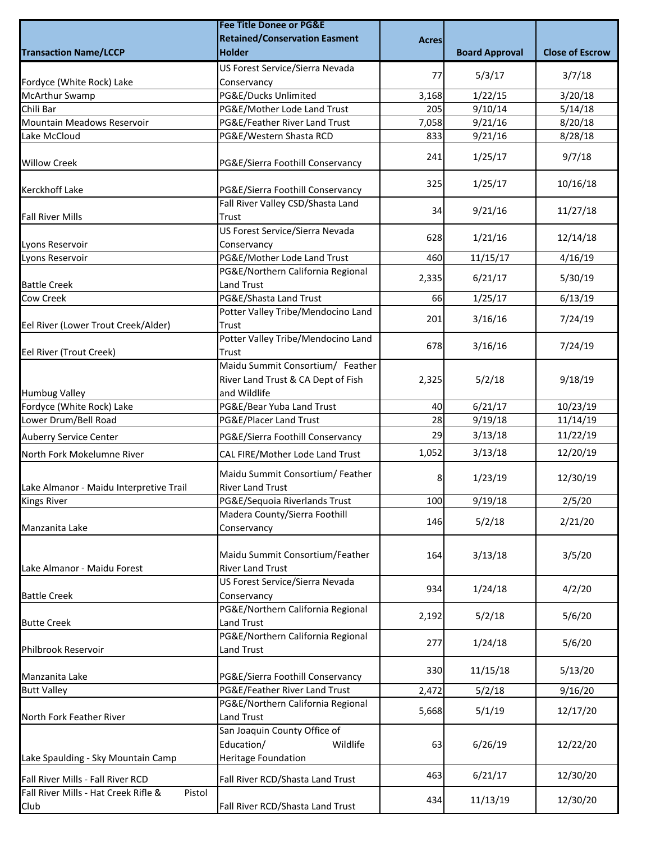|                                                | <b>Fee Title Donee or PG&amp;E</b>                         |              |                       |                        |
|------------------------------------------------|------------------------------------------------------------|--------------|-----------------------|------------------------|
|                                                | <b>Retained/Conservation Easment</b>                       | <b>Acres</b> |                       |                        |
| <b>Transaction Name/LCCP</b>                   | <b>Holder</b>                                              |              | <b>Board Approval</b> | <b>Close of Escrow</b> |
|                                                | US Forest Service/Sierra Nevada                            |              |                       |                        |
| Fordyce (White Rock) Lake                      | Conservancy                                                | 77           | 5/3/17                | 3/7/18                 |
| McArthur Swamp                                 | PG&E/Ducks Unlimited                                       | 3,168        | 1/22/15               | 3/20/18                |
| Chili Bar                                      | PG&E/Mother Lode Land Trust                                | 205          | 9/10/14               | 5/14/18                |
| Mountain Meadows Reservoir                     | PG&E/Feather River Land Trust                              | 7,058        | 9/21/16               | 8/20/18                |
| Lake McCloud                                   | PG&E/Western Shasta RCD                                    | 833          | 9/21/16               | 8/28/18                |
| <b>Willow Creek</b>                            | PG&E/Sierra Foothill Conservancy                           | 241          | 1/25/17               | 9/7/18                 |
| <b>Kerckhoff Lake</b>                          | PG&E/Sierra Foothill Conservancy                           | 325          | 1/25/17               | 10/16/18               |
| <b>Fall River Mills</b>                        | Fall River Valley CSD/Shasta Land<br>Trust                 | 34           | 9/21/16               | 11/27/18               |
| Lyons Reservoir                                | US Forest Service/Sierra Nevada<br>Conservancy             | 628          | 1/21/16               | 12/14/18               |
| Lyons Reservoir                                | PG&E/Mother Lode Land Trust                                | 460          | 11/15/17              | 4/16/19                |
|                                                | PG&E/Northern California Regional                          |              |                       |                        |
| <b>Battle Creek</b>                            | Land Trust                                                 | 2,335        | 6/21/17               | 5/30/19                |
| <b>Cow Creek</b>                               | PG&E/Shasta Land Trust                                     | 66           | 1/25/17               | 6/13/19                |
|                                                | Potter Valley Tribe/Mendocino Land                         | 201          | 3/16/16               | 7/24/19                |
| Eel River (Lower Trout Creek/Alder)            | Trust                                                      |              |                       |                        |
| Eel River (Trout Creek)                        | Potter Valley Tribe/Mendocino Land<br>Trust                | 678          | 3/16/16               | 7/24/19                |
|                                                | Maidu Summit Consortium/ Feather                           |              |                       |                        |
|                                                | River Land Trust & CA Dept of Fish                         | 2,325        | 5/2/18                | 9/18/19                |
| <b>Humbug Valley</b>                           | and Wildlife                                               |              |                       |                        |
| Fordyce (White Rock) Lake                      | PG&E/Bear Yuba Land Trust                                  | 40           | 6/21/17               | 10/23/19               |
| Lower Drum/Bell Road                           | PG&E/Placer Land Trust                                     | 28           | 9/19/18               | 11/14/19               |
| <b>Auberry Service Center</b>                  | PG&E/Sierra Foothill Conservancy                           | 29           | 3/13/18               | 11/22/19               |
| North Fork Mokelumne River                     | CAL FIRE/Mother Lode Land Trust                            | 1,052        | 3/13/18               | 12/20/19               |
|                                                |                                                            |              |                       |                        |
|                                                | Maidu Summit Consortium/ Feather                           | 8            | 1/23/19               | 12/30/19               |
| Lake Almanor - Maidu Interpretive Trail        | <b>River Land Trust</b><br>PG&E/Sequoia Riverlands Trust   |              |                       |                        |
| <b>Kings River</b>                             | Madera County/Sierra Foothill                              | 100          | 9/19/18               | 2/5/20                 |
| Manzanita Lake                                 |                                                            | 146          | 5/2/18                | 2/21/20                |
|                                                | Conservancy                                                |              |                       |                        |
| Lake Almanor - Maidu Forest                    | Maidu Summit Consortium/Feather<br><b>River Land Trust</b> | 164          | 3/13/18               | 3/5/20                 |
| <b>Battle Creek</b>                            | US Forest Service/Sierra Nevada<br>Conservancy             | 934          | 1/24/18               | 4/2/20                 |
|                                                | PG&E/Northern California Regional                          |              |                       |                        |
| <b>Butte Creek</b>                             | Land Trust                                                 | 2,192        | 5/2/18                | 5/6/20                 |
|                                                | PG&E/Northern California Regional                          |              |                       |                        |
| Philbrook Reservoir                            | Land Trust                                                 | 277          | 1/24/18               | 5/6/20                 |
| Manzanita Lake                                 | PG&E/Sierra Foothill Conservancy                           | 330          | 11/15/18              | 5/13/20                |
| <b>Butt Valley</b>                             | PG&E/Feather River Land Trust                              | 2,472        | 5/2/18                | 9/16/20                |
|                                                | PG&E/Northern California Regional                          |              |                       |                        |
| North Fork Feather River                       | Land Trust                                                 | 5,668        | 5/1/19                | 12/17/20               |
|                                                | San Joaquin County Office of                               |              |                       |                        |
|                                                | Education/<br>Wildlife                                     | 63           | 6/26/19               | 12/22/20               |
| Lake Spaulding - Sky Mountain Camp             | Heritage Foundation                                        |              |                       |                        |
| Fall River Mills - Fall River RCD              | Fall River RCD/Shasta Land Trust                           | 463          | 6/21/17               | 12/30/20               |
| Fall River Mills - Hat Creek Rifle &<br>Pistol |                                                            | 434          | 11/13/19              | 12/30/20               |
| Club                                           | Fall River RCD/Shasta Land Trust                           |              |                       |                        |